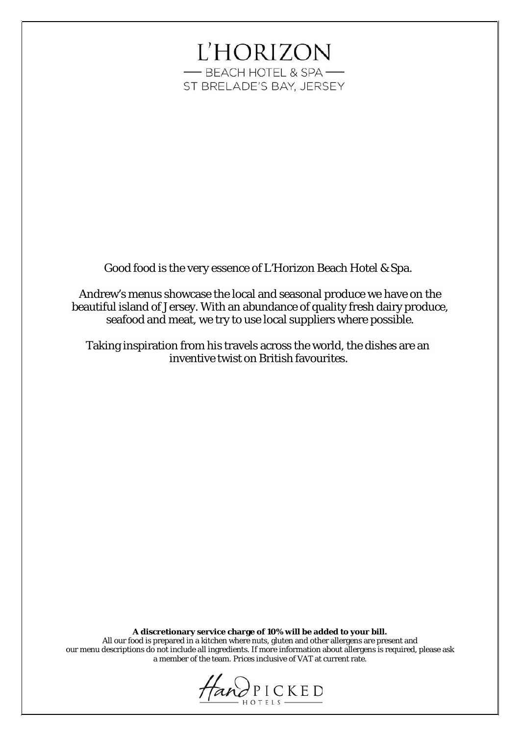# **L'HORIZON** -BEACH HOTEL & SPA-ST BRELADE'S BAY, JERSEY

Good food is the very essence of L'Horizon Beach Hotel & Spa.

Andrew's menus showcase the local and seasonal produce we have on the beautiful island of Jersey. With an abundance of quality fresh dairy produce, seafood and meat, we try to use local suppliers where possible.

Taking inspiration from his travels across the world, the dishes are an inventive twist on British favourites.

**A discretionary service charge of 10% will be added to your bill.**

All our food is prepared in a kitchen where nuts, gluten and other allergens are present and our menu descriptions do not include all ingredients. If more information about allergens is required, please ask a member of the team. Prices inclusive of VAT at current rate.

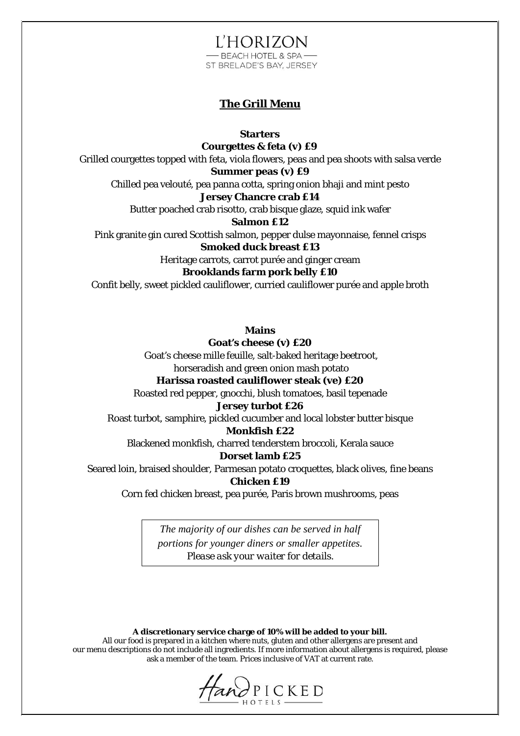**L'HORIZON** - BEACH HOTEL & SPA-ST BRELADE'S BAY, JERSEY

## **The Grill Menu**

**Starters**

**Courgettes & feta (v) £9**

Grilled courgettes topped with feta, viola flowers, peas and pea shoots with salsa verde

**Summer peas (v) £9**

Chilled pea velouté, pea panna cotta, spring onion bhaji and mint pesto

# **Jersey Chancre crab £14**

Butter poached crab risotto, crab bisque glaze, squid ink wafer

**Salmon £12**

Pink granite gin cured Scottish salmon, pepper dulse mayonnaise, fennel crisps **Smoked duck breast £13**

Heritage carrots, carrot purée and ginger cream

## **Brooklands farm pork belly £10**

Confit belly, sweet pickled cauliflower, curried cauliflower purée and apple broth

**Mains**

**Goat's cheese (v) £20** Goat's cheese mille feuille, salt-baked heritage beetroot, horseradish and green onion mash potato

#### **Harissa roasted cauliflower steak (ve) £20**

Roasted red pepper, gnocchi, blush tomatoes, basil tepenade

#### **Jersey turbot £26**

Roast turbot, samphire, pickled cucumber and local lobster butter bisque

#### **Monkfish £22**

Blackened monkfish, charred tenderstem broccoli, Kerala sauce

# **Dorset lamb £25**

Seared loin, braised shoulder, Parmesan potato croquettes, black olives, fine beans

## **Chicken £19**

Corn fed chicken breast, pea purée, Paris brown mushrooms, peas

*The majority of our dishes can be served in half portions for younger diners or smaller appetites. Please ask your waiter for details.*

**A discretionary service charge of 10% will be added to your bill.**

All our food is prepared in a kitchen where nuts, gluten and other allergens are present and our menu descriptions do not include all ingredients. If more information about allergens is required, please ask a member of the team. Prices inclusive of VAT at current rate.